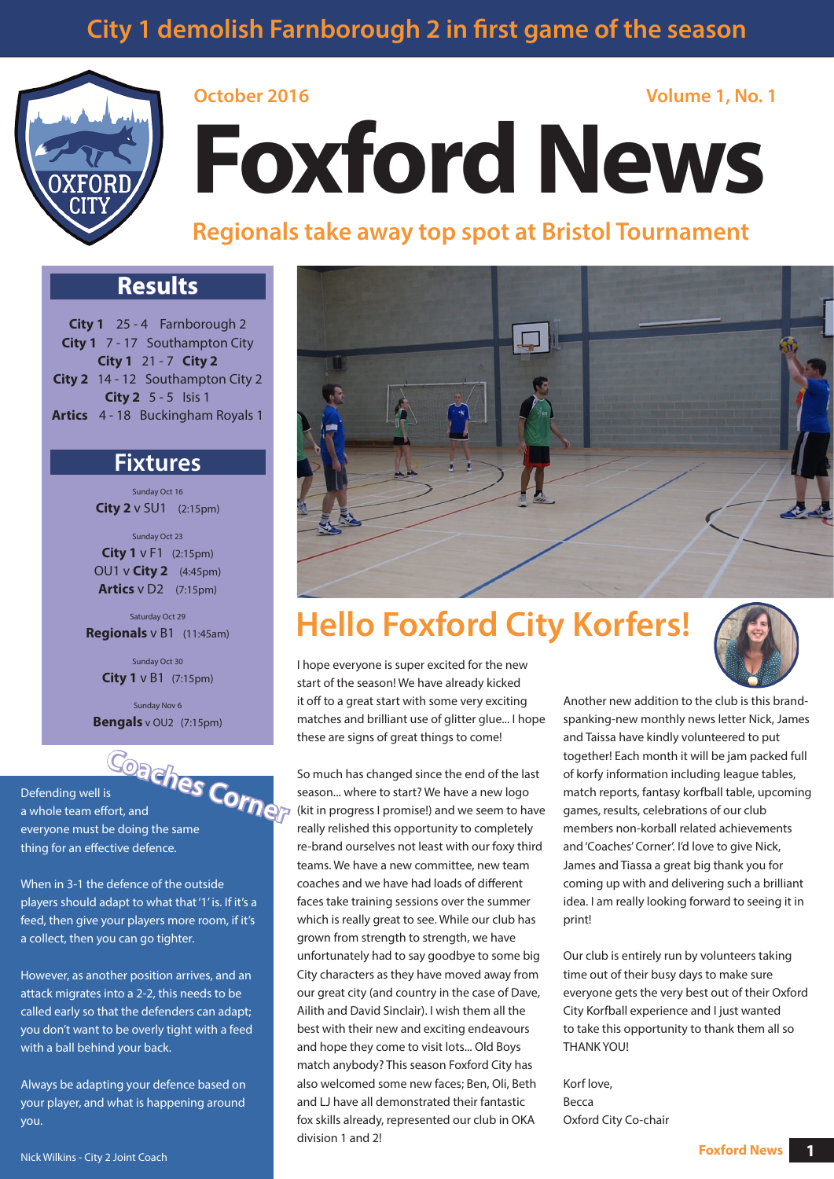# **City 1 demolish Farnborough 2 in first game of the season**



# **October 2016 Volume 1, No. 1 Foxford News**

### **Regionals take away top spot at Bristol Tournament**

### **Results**

**City 1** 25 - 4 Farnborough 2 **City 1** 7 - 17 Southampton City **City 1** 21 - 7 **City 2 City 2** 14 - 12 Southampton City 2 **City 2** 5 - 5 Isis 1 **Artics** 4 - 18 Buckingham Royals 1

### **Fixtures**

Sunday Oct 16 **City 2** v SU1 (2:15pm)

Sunday Oct 23 **City 1** v F1 (2:15pm) OU1 v **City 2** (4:45pm) **Artics** v D2 (7:15pm)

Saturday Oct 29 **Regionals** v B1 (11:45am)

> Sunday Oct 30 **City 1** v B1 (7:15pm)

Sunday Nov 6 **Bengals** v OU2 (7:15pm)



Defending well is a whole team effort, and everyone must be doing the same thing for an effective defence.

When in 3-1 the defence of the outside players should adapt to what that '1' is. If it's a feed, then give your players more room, if it's a collect, then you can go tighter.

However, as another position arrives, and an attack migrates into a 2-2, this needs to be called early so that the defenders can adapt; you don't want to be overly tight with a feed with a ball behind your back.

Always be adapting your defence based on your player, and what is happening around you.



# **Hello Foxford City Korfers!**

I hope everyone is super excited for the new start of the season! We have already kicked it off to a great start with some very exciting matches and brilliant use of glitter glue... I hope these are signs of great things to come!

So much has changed since the end of the last season... where to start? We have a new logo (kit in progress I promise!) and we seem to have really relished this opportunity to completely re-brand ourselves not least with our foxy third teams. We have a new committee, new team coaches and we have had loads of different faces take training sessions over the summer which is really great to see. While our club has grown from strength to strength, we have unfortunately had to say goodbye to some big City characters as they have moved away from our great city (and country in the case of Dave, Ailith and David Sinclair). I wish them all the best with their new and exciting endeavours and hope they come to visit lots... Old Boys match anybody? This season Foxford City has also welcomed some new faces; Ben, Oli, Beth and LJ have all demonstrated their fantastic fox skills already, represented our club in OKA division 1 and 2!

Another new addition to the club is this brandspanking-new monthly news letter Nick, James and Taissa have kindly volunteered to put together! Each month it will be jam packed full of korfy information including league tables, match reports, fantasy korfball table, upcoming games, results, celebrations of our club members non-korball related achievements

and 'Coaches' Corner'. I'd love to give Nick, James and Tiassa a great big thank you for coming up with and delivering such a brilliant idea. I am really looking forward to seeing it in print!

Our club is entirely run by volunteers taking time out of their busy days to make sure everyone gets the very best out of their Oxford City Korfball experience and I just wanted to take this opportunity to thank them all so THANK YOU!

Korf love, Becca Oxford City Co-chair